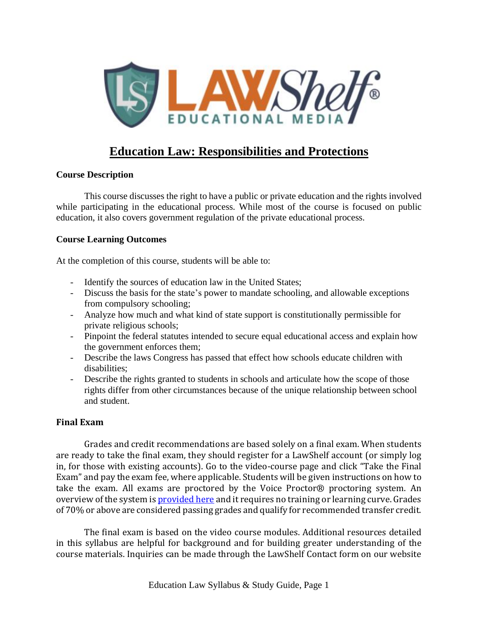

## **Education Law: Responsibilities and Protections**

### **Course Description**

This course discusses the right to have a public or private education and the rights involved while participating in the educational process. While most of the course is focused on public education, it also covers government regulation of the private educational process.

### **Course Learning Outcomes**

At the completion of this course, students will be able to:

- Identify the sources of education law in the United States;
- Discuss the basis for the state's power to mandate schooling, and allowable exceptions from compulsory schooling;
- Analyze how much and what kind of state support is constitutionally permissible for private religious schools;
- Pinpoint the federal statutes intended to secure equal educational access and explain how the government enforces them;
- Describe the laws Congress has passed that effect how schools educate children with disabilities;
- Describe the rights granted to students in schools and articulate how the scope of those rights differ from other circumstances because of the unique relationship between school and student.

### **Final Exam**

Grades and credit recommendations are based solely on a final exam. When students are ready to take the final exam, they should register for a LawShelf account (or simply log in, for those with existing accounts). Go to the video-course page and click "Take the Final Exam" and pay the exam fee, where applicable. Students will be given instructions on how to take the exam. All exams are proctored by the Voice Proctor® proctoring system. An overview of the system is **[provided](https://lawshelf.com/voiceproctorvideo) here** and it requires no training or learning curve. Grades of 70% or above are considered passing grades and qualify for recommended transfer credit.

The final exam is based on the video course modules. Additional resources detailed in this syllabus are helpful for background and for building greater understanding of the course materials. Inquiries can be made through the LawShelf Contact form on our website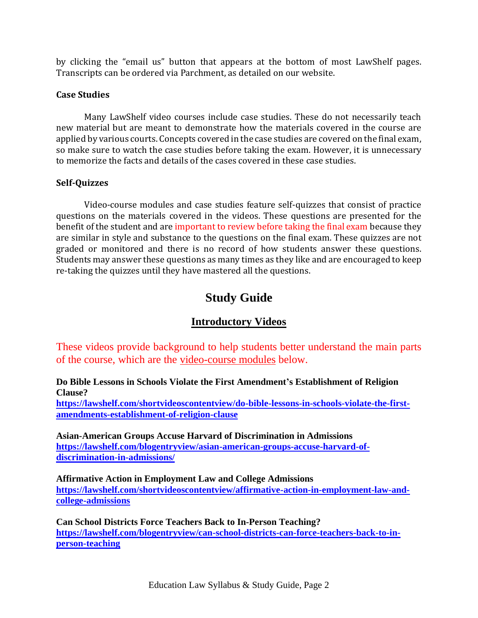by clicking the "email us" button that appears at the bottom of most LawShelf pages. Transcripts can be ordered via Parchment, as detailed on our website.

#### **Case Studies**

Many LawShelf video courses include case studies. These do not necessarily teach new material but are meant to demonstrate how the materials covered in the course are applied by various courts. Concepts covered in the case studies are covered on the final exam, so make sure to watch the case studies before taking the exam. However, it is unnecessary to memorize the facts and details of the cases covered in these case studies.

### **Self-Quizzes**

Video-course modules and case studies feature self-quizzes that consist of practice questions on the materials covered in the videos. These questions are presented for the benefit of the student and are important to review before taking the final exam because they are similar in style and substance to the questions on the final exam. These quizzes are not graded or monitored and there is no record of how students answer these questions. Students may answer these questions as many times as they like and are encouraged to keep re-taking the quizzes until they have mastered all the questions.

# **Study Guide**

## **Introductory Videos**

These videos provide background to help students better understand the main parts of the course, which are the video-course modules below.

**Do Bible Lessons in Schools Violate the First Amendment's Establishment of Religion Clause?**

**[https://lawshelf.com/shortvideoscontentview/do-bible-lessons-in-schools-violate-the-first](https://lawshelf.com/shortvideoscontentview/do-bible-lessons-in-schools-violate-the-first-amendments-establishment-of-religion-clause)[amendments-establishment-of-religion-clause](https://lawshelf.com/shortvideoscontentview/do-bible-lessons-in-schools-violate-the-first-amendments-establishment-of-religion-clause)**

**Asian-American Groups Accuse Harvard of Discrimination in Admissions [https://lawshelf.com/blogentryview/asian-american-groups-accuse-harvard-of](https://lawshelf.com/blogentryview/asian-american-groups-accuse-harvard-of-discrimination-in-admissions/)[discrimination-in-admissions/](https://lawshelf.com/blogentryview/asian-american-groups-accuse-harvard-of-discrimination-in-admissions/)**

**Affirmative Action in Employment Law and College Admissions [https://lawshelf.com/shortvideoscontentview/affirmative-action-in-employment-law-and](https://lawshelf.com/shortvideoscontentview/affirmative-action-in-employment-law-and-college-admissions)[college-admissions](https://lawshelf.com/shortvideoscontentview/affirmative-action-in-employment-law-and-college-admissions)**

**Can School Districts Force Teachers Back to In-Person Teaching? [https://lawshelf.com/blogentryview/can-school-districts-can-force-teachers-back-to-in](https://lawshelf.com/blogentryview/can-school-districts-can-force-teachers-back-to-in-person-teaching)[person-teaching](https://lawshelf.com/blogentryview/can-school-districts-can-force-teachers-back-to-in-person-teaching)**